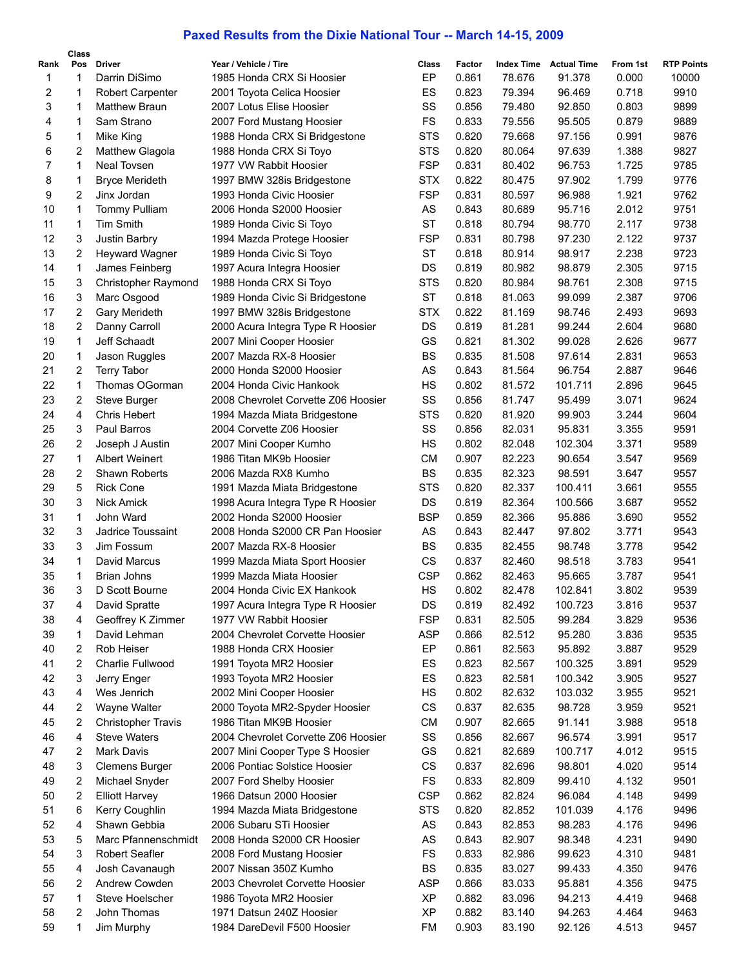## **Paxed Results from the Dixie National Tour -- March 14-15, 2009**

| Rank         | Class<br>Pos   | <b>Driver</b>                            | Year / Vehicle / Tire               | Class      | Factor         | <b>Index Time</b> | <b>Actual Time</b> | From 1st       | <b>RTP Points</b> |
|--------------|----------------|------------------------------------------|-------------------------------------|------------|----------------|-------------------|--------------------|----------------|-------------------|
| $\mathbf{1}$ | 1              | Darrin DiSimo                            | 1985 Honda CRX Si Hoosier           | EP         | 0.861          | 78.676            | 91.378             | 0.000          | 10000             |
| 2            | 1              | Robert Carpenter                         | 2001 Toyota Celica Hoosier          | ES         | 0.823          | 79.394            | 96.469             | 0.718          | 9910              |
| 3            | 1              | <b>Matthew Braun</b>                     | 2007 Lotus Elise Hoosier            | SS         | 0.856          | 79.480            | 92.850             | 0.803          | 9899              |
| 4            | 1              | Sam Strano                               | 2007 Ford Mustang Hoosier           | FS         | 0.833          | 79.556            | 95.505             | 0.879          | 9889              |
| 5            | 1              | Mike King                                | 1988 Honda CRX Si Bridgestone       | <b>STS</b> | 0.820          | 79.668            | 97.156             | 0.991          | 9876              |
| 6            | $\overline{2}$ | Matthew Glagola                          | 1988 Honda CRX Si Toyo              | <b>STS</b> | 0.820          | 80.064            | 97.639             | 1.388          | 9827              |
| 7            | 1              | <b>Neal Tovsen</b>                       | 1977 VW Rabbit Hoosier              | <b>FSP</b> | 0.831          | 80.402            | 96.753             | 1.725          | 9785              |
| 8            | 1              | <b>Bryce Merideth</b>                    | 1997 BMW 328is Bridgestone          | <b>STX</b> | 0.822          | 80.475            | 97.902             | 1.799          | 9776              |
| 9            | $\overline{2}$ | Jinx Jordan                              | 1993 Honda Civic Hoosier            | <b>FSP</b> | 0.831          | 80.597            | 96.988             | 1.921          | 9762              |
| 10           | 1              |                                          |                                     | AS         | 0.843          |                   |                    | 2.012          | 9751              |
| 11           | 1              | <b>Tommy Pulliam</b><br><b>Tim Smith</b> | 2006 Honda S2000 Hoosier            | <b>ST</b>  |                | 80.689            | 95.716             |                | 9738              |
| 12           | 3              | Justin Barbry                            | 1989 Honda Civic Si Toyo            | <b>FSP</b> | 0.818<br>0.831 | 80.794<br>80.798  | 98.770<br>97.230   | 2.117<br>2.122 | 9737              |
| 13           | 2              |                                          | 1994 Mazda Protege Hoosier          | <b>ST</b>  | 0.818          | 80.914            | 98.917             | 2.238          | 9723              |
| 14           | 1              | Heyward Wagner                           | 1989 Honda Civic Si Toyo            | DS         |                |                   |                    | 2.305          | 9715              |
|              |                | James Feinberg                           | 1997 Acura Integra Hoosier          |            | 0.819          | 80.982            | 98.879             |                |                   |
| 15           | 3              | Christopher Raymond                      | 1988 Honda CRX Si Toyo              | <b>STS</b> | 0.820          | 80.984            | 98.761             | 2.308          | 9715              |
| 16           | 3              | Marc Osgood                              | 1989 Honda Civic Si Bridgestone     | <b>ST</b>  | 0.818          | 81.063            | 99.099             | 2.387          | 9706              |
| 17           | 2              | Gary Merideth                            | 1997 BMW 328is Bridgestone          | <b>STX</b> | 0.822          | 81.169            | 98.746             | 2.493          | 9693              |
| 18           | 2              | Danny Carroll                            | 2000 Acura Integra Type R Hoosier   | DS         | 0.819          | 81.281            | 99.244             | 2.604          | 9680              |
| 19           | 1              | Jeff Schaadt                             | 2007 Mini Cooper Hoosier            | GS         | 0.821          | 81.302            | 99.028             | 2.626          | 9677              |
| 20           | 1              | Jason Ruggles                            | 2007 Mazda RX-8 Hoosier             | <b>BS</b>  | 0.835          | 81.508            | 97.614             | 2.831          | 9653              |
| 21           | $\overline{c}$ | <b>Terry Tabor</b>                       | 2000 Honda S2000 Hoosier            | AS         | 0.843          | 81.564            | 96.754             | 2.887          | 9646              |
| 22           | 1              | Thomas OGorman                           | 2004 Honda Civic Hankook            | HS         | 0.802          | 81.572            | 101.711            | 2.896          | 9645              |
| 23           | 2              | Steve Burger                             | 2008 Chevrolet Corvette Z06 Hoosier | SS         | 0.856          | 81.747            | 95.499             | 3.071          | 9624              |
| 24           | 4              | <b>Chris Hebert</b>                      | 1994 Mazda Miata Bridgestone        | <b>STS</b> | 0.820          | 81.920            | 99.903             | 3.244          | 9604              |
| 25           | 3              | Paul Barros                              | 2004 Corvette Z06 Hoosier           | SS         | 0.856          | 82.031            | 95.831             | 3.355          | 9591              |
| 26           | 2              | Joseph J Austin                          | 2007 Mini Cooper Kumho              | HS         | 0.802          | 82.048            | 102.304            | 3.371          | 9589              |
| 27           | 1              | <b>Albert Weinert</b>                    | 1986 Titan MK9b Hoosier             | <b>CM</b>  | 0.907          | 82.223            | 90.654             | 3.547          | 9569              |
| 28           | 2              | Shawn Roberts                            | 2006 Mazda RX8 Kumho                | <b>BS</b>  | 0.835          | 82.323            | 98.591             | 3.647          | 9557              |
| 29           | 5              | <b>Rick Cone</b>                         | 1991 Mazda Miata Bridgestone        | <b>STS</b> | 0.820          | 82.337            | 100.411            | 3.661          | 9555              |
| 30           | 3              | <b>Nick Amick</b>                        | 1998 Acura Integra Type R Hoosier   | DS         | 0.819          | 82.364            | 100.566            | 3.687          | 9552              |
| 31           | $\mathbf 1$    | John Ward                                | 2002 Honda S2000 Hoosier            | <b>BSP</b> | 0.859          | 82.366            | 95.886             | 3.690          | 9552              |
| 32           | 3              | Jadrice Toussaint                        | 2008 Honda S2000 CR Pan Hoosier     | AS         | 0.843          | 82.447            | 97.802             | 3.771          | 9543              |
| 33           | 3              | Jim Fossum                               | 2007 Mazda RX-8 Hoosier             | <b>BS</b>  | 0.835          | 82.455            | 98.748             | 3.778          | 9542              |
| 34           | 1              | David Marcus                             | 1999 Mazda Miata Sport Hoosier      | CS         | 0.837          | 82.460            | 98.518             | 3.783          | 9541              |
| 35           | 1              | Brian Johns                              | 1999 Mazda Miata Hoosier            | <b>CSP</b> | 0.862          | 82.463            | 95.665             | 3.787          | 9541              |
| 36           | 3              | D Scott Bourne                           | 2004 Honda Civic EX Hankook         | HS         | 0.802          | 82.478            | 102.841            | 3.802          | 9539              |
| 37           | 4              | David Spratte                            | 1997 Acura Integra Type R Hoosier   | DS         | 0.819          | 82.492            | 100.723            | 3.816          | 9537              |
| 38           | 4              | Geoffrey K Zimmer                        | 1977 VW Rabbit Hoosier              | <b>FSP</b> | 0.831          | 82.505            | 99.284             | 3.829          | 9536              |
| 39           | 1              | David Lehman                             | 2004 Chevrolet Corvette Hoosier     | <b>ASP</b> | 0.866          | 82.512            | 95.280             | 3.836          | 9535              |
| 40           | 2              | Rob Heiser                               | 1988 Honda CRX Hoosier              | EP         | 0.861          | 82.563            | 95.892             | 3.887          | 9529              |
| 41           | 2              | Charlie Fullwood                         | 1991 Toyota MR2 Hoosier             | ES         | 0.823          | 82.567            | 100.325            | 3.891          | 9529              |
| 42           | 3              | Jerry Enger                              | 1993 Toyota MR2 Hoosier             | ES         | 0.823          | 82.581            | 100.342            | 3.905          | 9527              |
| 43           | 4              | Wes Jenrich                              | 2002 Mini Cooper Hoosier            | HS         | 0.802          | 82.632            | 103.032            | 3.955          | 9521              |
| 44           | 2              | Wayne Walter                             | 2000 Toyota MR2-Spyder Hoosier      | CS         | 0.837          | 82.635            | 98.728             | 3.959          | 9521              |
| 45           | 2              | <b>Christopher Travis</b>                | 1986 Titan MK9B Hoosier             | <b>CM</b>  | 0.907          | 82.665            | 91.141             | 3.988          | 9518              |
| 46           | 4              | <b>Steve Waters</b>                      | 2004 Chevrolet Corvette Z06 Hoosier | SS         | 0.856          | 82.667            | 96.574             | 3.991          | 9517              |
| 47           | 2              | Mark Davis                               | 2007 Mini Cooper Type S Hoosier     | GS         | 0.821          | 82.689            | 100.717            | 4.012          | 9515              |
| 48           | 3              | <b>Clemens Burger</b>                    | 2006 Pontiac Solstice Hoosier       | CS         | 0.837          | 82.696            | 98.801             | 4.020          | 9514              |
| 49           | 2              | Michael Snyder                           | 2007 Ford Shelby Hoosier            | FS         | 0.833          | 82.809            | 99.410             | 4.132          | 9501              |
| 50           | 2              | <b>Elliott Harvey</b>                    | 1966 Datsun 2000 Hoosier            | <b>CSP</b> | 0.862          | 82.824            | 96.084             | 4.148          | 9499              |
| 51           | 6              | Kerry Coughlin                           | 1994 Mazda Miata Bridgestone        | <b>STS</b> | 0.820          | 82.852            | 101.039            | 4.176          | 9496              |
| 52           | 4              | Shawn Gebbia                             | 2006 Subaru STi Hoosier             | AS         | 0.843          | 82.853            | 98.283             | 4.176          | 9496              |
| 53           | 5              | Marc Pfannenschmidt                      | 2008 Honda S2000 CR Hoosier         | AS         | 0.843          | 82.907            | 98.348             | 4.231          | 9490              |
| 54           | 3              | <b>Robert Seafler</b>                    | 2008 Ford Mustang Hoosier           | FS         | 0.833          | 82.986            | 99.623             | 4.310          | 9481              |
| 55           | 4              | Josh Cavanaugh                           | 2007 Nissan 350Z Kumho              | BS         | 0.835          | 83.027            | 99.433             | 4.350          | 9476              |
| 56           | 2              | Andrew Cowden                            | 2003 Chevrolet Corvette Hoosier     | <b>ASP</b> | 0.866          | 83.033            | 95.881             | 4.356          | 9475              |
| 57           | 1              | Steve Hoelscher                          | 1986 Toyota MR2 Hoosier             | <b>XP</b>  | 0.882          | 83.096            | 94.213             | 4.419          | 9468              |
| 58           | 2              | John Thomas                              | 1971 Datsun 240Z Hoosier            | <b>XP</b>  | 0.882          | 83.140            | 94.263             | 4.464          | 9463              |
| 59           | 1              | Jim Murphy                               | 1984 DareDevil F500 Hoosier         | FM         | 0.903          | 83.190            | 92.126             | 4.513          | 9457              |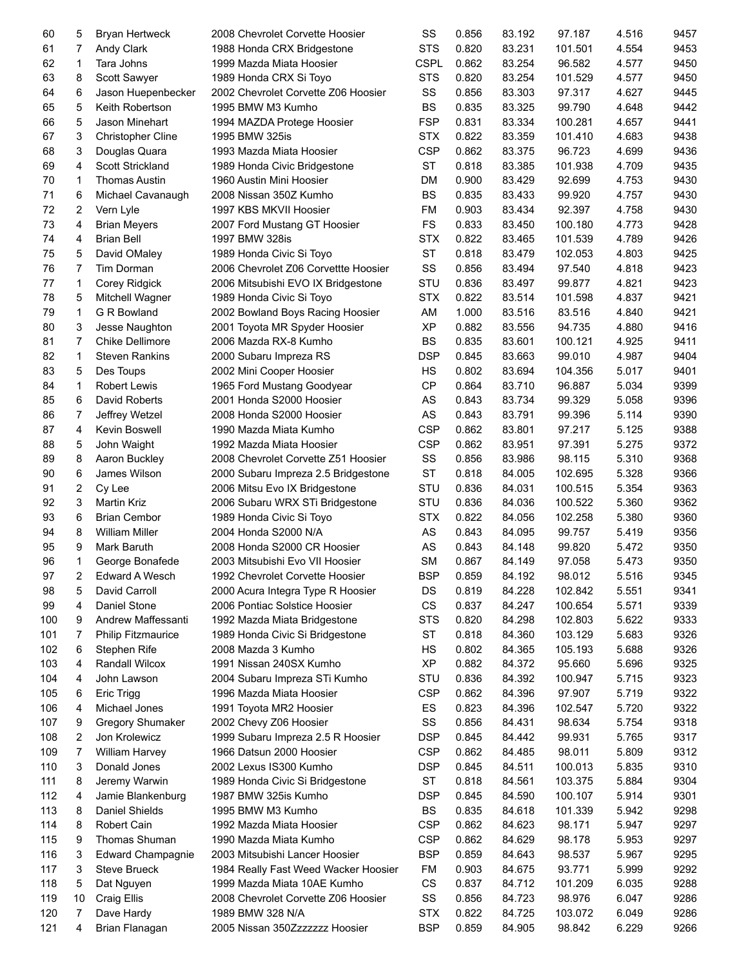| 60       | 5                | <b>Bryan Hertweck</b>     | 2008 Chevrolet Corvette Hoosier                    | SS          | 0.856 | 83.192           | 97.187  | 4.516 | 9457 |
|----------|------------------|---------------------------|----------------------------------------------------|-------------|-------|------------------|---------|-------|------|
| 61       | 7                | Andy Clark                | 1988 Honda CRX Bridgestone                         | <b>STS</b>  | 0.820 | 83.231           | 101.501 | 4.554 | 9453 |
| 62       | 1                | Tara Johns                | 1999 Mazda Miata Hoosier                           | <b>CSPL</b> | 0.862 | 83.254           | 96.582  | 4.577 | 9450 |
| 63       | 8                | Scott Sawyer              | 1989 Honda CRX Si Toyo                             | <b>STS</b>  | 0.820 | 83.254           | 101.529 | 4.577 | 9450 |
| 64       | 6                | Jason Huepenbecker        | 2002 Chevrolet Corvette Z06 Hoosier                | SS          | 0.856 | 83.303           | 97.317  | 4.627 | 9445 |
| 65       | 5                | Keith Robertson           | 1995 BMW M3 Kumho                                  | <b>BS</b>   | 0.835 | 83.325           | 99.790  | 4.648 | 9442 |
| 66       | 5                | Jason Minehart            | 1994 MAZDA Protege Hoosier                         | <b>FSP</b>  | 0.831 | 83.334           | 100.281 | 4.657 | 9441 |
| 67       | 3                | Christopher Cline         | 1995 BMW 325is                                     | <b>STX</b>  | 0.822 | 83.359           | 101.410 | 4.683 | 9438 |
| 68       | 3                | Douglas Quara             | 1993 Mazda Miata Hoosier                           | <b>CSP</b>  | 0.862 | 83.375           | 96.723  | 4.699 | 9436 |
| 69       | 4                | Scott Strickland          | 1989 Honda Civic Bridgestone                       | <b>ST</b>   | 0.818 | 83.385           | 101.938 | 4.709 | 9435 |
| 70       | 1                | <b>Thomas Austin</b>      | 1960 Austin Mini Hoosier                           | <b>DM</b>   | 0.900 | 83.429           | 92.699  | 4.753 | 9430 |
| 71       | 6                | Michael Cavanaugh         | 2008 Nissan 350Z Kumho                             | <b>BS</b>   | 0.835 | 83.433           | 99.920  | 4.757 | 9430 |
| 72       | 2                | Vern Lyle                 | 1997 KBS MKVII Hoosier                             | FM          | 0.903 | 83.434           | 92.397  | 4.758 | 9430 |
| 73       | 4                | <b>Brian Meyers</b>       | 2007 Ford Mustang GT Hoosier                       | <b>FS</b>   | 0.833 | 83.450           | 100.180 | 4.773 | 9428 |
| 74       | 4                | <b>Brian Bell</b>         | 1997 BMW 328is                                     | <b>STX</b>  | 0.822 | 83.465           | 101.539 | 4.789 | 9426 |
| 75       | 5                | David OMaley              | 1989 Honda Civic Si Toyo                           | <b>ST</b>   | 0.818 | 83.479           | 102.053 | 4.803 | 9425 |
| 76       | 7                | Tim Dorman                | 2006 Chevrolet Z06 Corvettte Hoosier               | SS          | 0.856 | 83.494           | 97.540  | 4.818 | 9423 |
| 77       | 1                | Corey Ridgick             | 2006 Mitsubishi EVO IX Bridgestone                 | STU         | 0.836 | 83.497           | 99.877  | 4.821 | 9423 |
| 78       | 5                | Mitchell Wagner           | 1989 Honda Civic Si Toyo                           | <b>STX</b>  | 0.822 | 83.514           | 101.598 | 4.837 | 9421 |
| 79       | $\mathbf 1$      | G R Bowland               | 2002 Bowland Boys Racing Hoosier                   | AM          | 1.000 | 83.516           | 83.516  | 4.840 | 9421 |
| 80       | 3                | Jesse Naughton            | 2001 Toyota MR Spyder Hoosier                      | <b>XP</b>   | 0.882 | 83.556           | 94.735  | 4.880 | 9416 |
| 81       | $\overline{7}$   | Chike Dellimore           | 2006 Mazda RX-8 Kumho                              | <b>BS</b>   | 0.835 | 83.601           | 100.121 | 4.925 | 9411 |
| 82       | $\mathbf 1$      | <b>Steven Rankins</b>     | 2000 Subaru Impreza RS                             | <b>DSP</b>  | 0.845 | 83.663           | 99.010  | 4.987 | 9404 |
| 83       | 5                | Des Toups                 | 2002 Mini Cooper Hoosier                           | <b>HS</b>   | 0.802 | 83.694           | 104.356 | 5.017 | 9401 |
| 84       | $\mathbf 1$      | Robert Lewis              | 1965 Ford Mustang Goodyear                         | <b>CP</b>   | 0.864 | 83.710           | 96.887  | 5.034 | 9399 |
| 85       | 6                | David Roberts             | 2001 Honda S2000 Hoosier                           | AS          | 0.843 | 83.734           | 99.329  | 5.058 | 9396 |
| 86       | $\boldsymbol{7}$ | Jeffrey Wetzel            | 2008 Honda S2000 Hoosier                           | AS          | 0.843 | 83.791           | 99.396  | 5.114 | 9390 |
|          |                  |                           |                                                    | <b>CSP</b>  | 0.862 |                  |         |       | 9388 |
| 87<br>88 | 4                | Kevin Boswell             | 1990 Mazda Miata Kumho<br>1992 Mazda Miata Hoosier | <b>CSP</b>  | 0.862 | 83.801<br>83.951 | 97.217  | 5.125 | 9372 |
|          | 5                | John Waight               |                                                    |             |       |                  | 97.391  | 5.275 |      |
| 89       | 8                | Aaron Buckley             | 2008 Chevrolet Corvette Z51 Hoosier                | SS          | 0.856 | 83.986           | 98.115  | 5.310 | 9368 |
| 90       | 6                | James Wilson              | 2000 Subaru Impreza 2.5 Bridgestone                | <b>ST</b>   | 0.818 | 84.005           | 102.695 | 5.328 | 9366 |
| 91       | 2                | Cy Lee                    | 2006 Mitsu Evo IX Bridgestone                      | STU         | 0.836 | 84.031           | 100.515 | 5.354 | 9363 |
| 92       | 3                | Martin Kriz               | 2006 Subaru WRX STi Bridgestone                    | STU         | 0.836 | 84.036           | 100.522 | 5.360 | 9362 |
| 93       | 6                | <b>Brian Cembor</b>       | 1989 Honda Civic Si Toyo                           | <b>STX</b>  | 0.822 | 84.056           | 102.258 | 5.380 | 9360 |
| 94       | 8                | <b>William Miller</b>     | 2004 Honda S2000 N/A                               | AS          | 0.843 | 84.095           | 99.757  | 5.419 | 9356 |
| 95       | 9                | Mark Baruth               | 2008 Honda S2000 CR Hoosier                        | AS          | 0.843 | 84.148           | 99.820  | 5.472 | 9350 |
| 96       | 1                | George Bonafede           | 2003 Mitsubishi Evo VII Hoosier                    | <b>SM</b>   | 0.867 | 84.149           | 97.058  | 5.473 | 9350 |
| 97       | $\overline{2}$   | Edward A Wesch            | 1992 Chevrolet Corvette Hoosier                    | <b>BSP</b>  | 0.859 | 84.192           | 98.012  | 5.516 | 9345 |
| 98       | 5                | David Carroll             | 2000 Acura Integra Type R Hoosier                  | DS          | 0.819 | 84.228           | 102.842 | 5.551 | 9341 |
| 99       | 4                | Daniel Stone              | 2006 Pontiac Solstice Hoosier                      | CS          | 0.837 | 84.247           | 100.654 | 5.571 | 9339 |
| 100      | 9                | Andrew Maffessanti        | 1992 Mazda Miata Bridgestone                       | <b>STS</b>  | 0.820 | 84.298           | 102.803 | 5.622 | 9333 |
| 101      | 7                | <b>Philip Fitzmaurice</b> | 1989 Honda Civic Si Bridgestone                    | <b>ST</b>   | 0.818 | 84.360           | 103.129 | 5.683 | 9326 |
| 102      | 6                | Stephen Rife              | 2008 Mazda 3 Kumho                                 | HS          | 0.802 | 84.365           | 105.193 | 5.688 | 9326 |
| 103      | 4                | Randall Wilcox            | 1991 Nissan 240SX Kumho                            | <b>XP</b>   | 0.882 | 84.372           | 95.660  | 5.696 | 9325 |
| 104      | 4                | John Lawson               | 2004 Subaru Impreza STi Kumho                      | STU         | 0.836 | 84.392           | 100.947 | 5.715 | 9323 |
| 105      | 6                | <b>Eric Trigg</b>         | 1996 Mazda Miata Hoosier                           | <b>CSP</b>  | 0.862 | 84.396           | 97.907  | 5.719 | 9322 |
| 106      | 4                | Michael Jones             | 1991 Toyota MR2 Hoosier                            | ES          | 0.823 | 84.396           | 102.547 | 5.720 | 9322 |
| 107      | 9                | <b>Gregory Shumaker</b>   | 2002 Chevy Z06 Hoosier                             | SS          | 0.856 | 84.431           | 98.634  | 5.754 | 9318 |
| 108      | 2                | Jon Krolewicz             | 1999 Subaru Impreza 2.5 R Hoosier                  | <b>DSP</b>  | 0.845 | 84.442           | 99.931  | 5.765 | 9317 |
| 109      | 7                | <b>William Harvey</b>     | 1966 Datsun 2000 Hoosier                           | <b>CSP</b>  | 0.862 | 84.485           | 98.011  | 5.809 | 9312 |
| 110      | 3                | Donald Jones              | 2002 Lexus IS300 Kumho                             | <b>DSP</b>  | 0.845 | 84.511           | 100.013 | 5.835 | 9310 |
| 111      | 8                | Jeremy Warwin             | 1989 Honda Civic Si Bridgestone                    | <b>ST</b>   | 0.818 | 84.561           | 103.375 | 5.884 | 9304 |
| 112      | 4                | Jamie Blankenburg         | 1987 BMW 325is Kumho                               | <b>DSP</b>  | 0.845 | 84.590           | 100.107 | 5.914 | 9301 |
| 113      | 8                | Daniel Shields            | 1995 BMW M3 Kumho                                  | <b>BS</b>   | 0.835 | 84.618           | 101.339 | 5.942 | 9298 |
| 114      | 8                | Robert Cain               | 1992 Mazda Miata Hoosier                           | <b>CSP</b>  | 0.862 | 84.623           | 98.171  | 5.947 | 9297 |
| 115      | 9                | Thomas Shuman             | 1990 Mazda Miata Kumho                             | <b>CSP</b>  | 0.862 | 84.629           | 98.178  | 5.953 | 9297 |
| 116      | 3                | <b>Edward Champagnie</b>  | 2003 Mitsubishi Lancer Hoosier                     | <b>BSP</b>  | 0.859 | 84.643           | 98.537  | 5.967 | 9295 |
| 117      | 3                | <b>Steve Brueck</b>       | 1984 Really Fast Weed Wacker Hoosier               | FM          | 0.903 | 84.675           | 93.771  | 5.999 | 9292 |
| 118      | 5                | Dat Nguyen                | 1999 Mazda Miata 10AE Kumho                        | CS          | 0.837 | 84.712           | 101.209 | 6.035 | 9288 |
| 119      | 10               | Craig Ellis               | 2008 Chevrolet Corvette Z06 Hoosier                | SS          | 0.856 | 84.723           | 98.976  | 6.047 | 9286 |
| 120      | 7                | Dave Hardy                | 1989 BMW 328 N/A                                   | <b>STX</b>  | 0.822 | 84.725           | 103.072 | 6.049 | 9286 |
| 121      | 4                | Brian Flanagan            | 2005 Nissan 350Zzzzzzz Hoosier                     | <b>BSP</b>  | 0.859 | 84.905           | 98.842  | 6.229 | 9266 |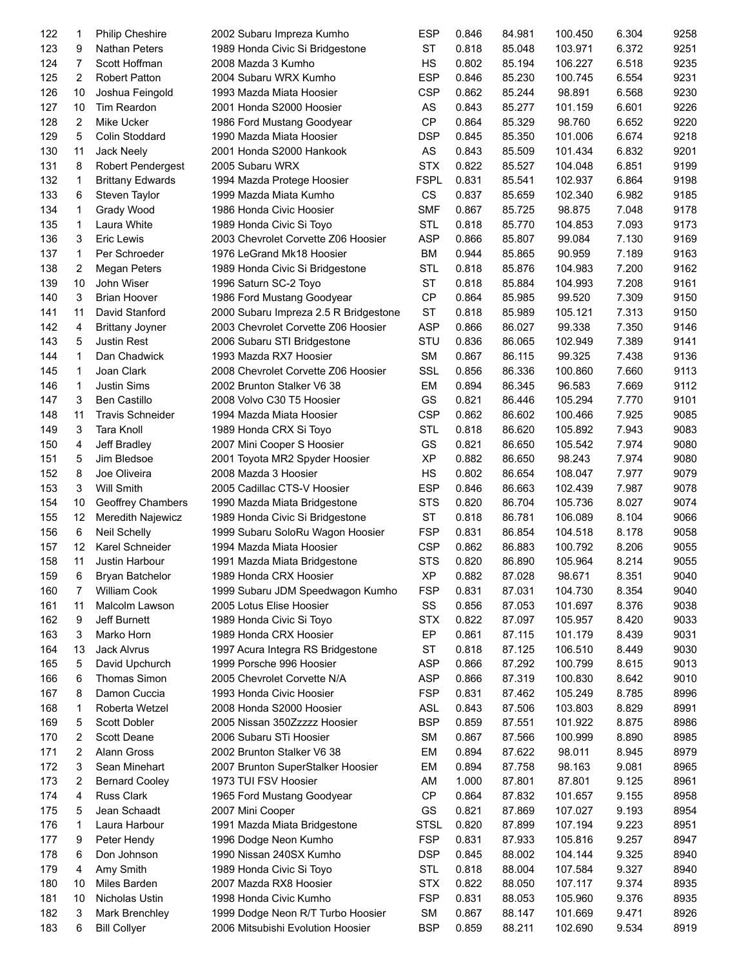| 122 | 1               | <b>Philip Cheshire</b>  | 2002 Subaru Impreza Kumho             | <b>ESP</b>  | 0.846 | 84.981 | 100.450 | 6.304 | 9258 |
|-----|-----------------|-------------------------|---------------------------------------|-------------|-------|--------|---------|-------|------|
| 123 | 9               | Nathan Peters           | 1989 Honda Civic Si Bridgestone       | <b>ST</b>   | 0.818 | 85.048 | 103.971 | 6.372 | 9251 |
| 124 | $\overline{7}$  | Scott Hoffman           | 2008 Mazda 3 Kumho                    | HS          | 0.802 | 85.194 | 106.227 | 6.518 | 9235 |
| 125 | $\overline{2}$  | <b>Robert Patton</b>    | 2004 Subaru WRX Kumho                 | <b>ESP</b>  | 0.846 | 85.230 | 100.745 | 6.554 | 9231 |
| 126 | 10              | Joshua Feingold         | 1993 Mazda Miata Hoosier              | <b>CSP</b>  | 0.862 | 85.244 | 98.891  | 6.568 | 9230 |
| 127 | 10              | Tim Reardon             | 2001 Honda S2000 Hoosier              | AS          | 0.843 | 85.277 | 101.159 | 6.601 | 9226 |
| 128 | $\overline{2}$  | <b>Mike Ucker</b>       | 1986 Ford Mustang Goodyear            | <b>CP</b>   | 0.864 | 85.329 | 98.760  | 6.652 | 9220 |
| 129 | 5               | Colin Stoddard          | 1990 Mazda Miata Hoosier              | <b>DSP</b>  | 0.845 | 85.350 | 101.006 | 6.674 | 9218 |
| 130 | 11              | Jack Neely              | 2001 Honda S2000 Hankook              | AS          | 0.843 | 85.509 | 101.434 | 6.832 | 9201 |
| 131 | 8               | Robert Pendergest       | 2005 Subaru WRX                       | <b>STX</b>  | 0.822 | 85.527 | 104.048 | 6.851 | 9199 |
| 132 | 1               | <b>Brittany Edwards</b> | 1994 Mazda Protege Hoosier            | <b>FSPL</b> | 0.831 | 85.541 | 102.937 | 6.864 | 9198 |
| 133 | 6               | Steven Taylor           | 1999 Mazda Miata Kumho                | CS          | 0.837 | 85.659 | 102.340 | 6.982 | 9185 |
| 134 | $\mathbf{1}$    | Grady Wood              | 1986 Honda Civic Hoosier              | <b>SMF</b>  | 0.867 | 85.725 | 98.875  | 7.048 | 9178 |
| 135 | 1               | Laura White             | 1989 Honda Civic Si Toyo              | <b>STL</b>  | 0.818 | 85.770 | 104.853 | 7.093 | 9173 |
| 136 | 3               | Eric Lewis              | 2003 Chevrolet Corvette Z06 Hoosier   | <b>ASP</b>  | 0.866 | 85.807 | 99.084  | 7.130 | 9169 |
| 137 | 1               | Per Schroeder           | 1976 LeGrand Mk18 Hoosier             | BM          | 0.944 | 85.865 | 90.959  | 7.189 | 9163 |
| 138 | 2               | <b>Megan Peters</b>     | 1989 Honda Civic Si Bridgestone       | <b>STL</b>  | 0.818 | 85.876 | 104.983 | 7.200 | 9162 |
| 139 | 10              | John Wiser              | 1996 Saturn SC-2 Toyo                 | <b>ST</b>   | 0.818 | 85.884 | 104.993 | 7.208 | 9161 |
| 140 | 3               | <b>Brian Hoover</b>     | 1986 Ford Mustang Goodyear            | <b>CP</b>   | 0.864 | 85.985 | 99.520  | 7.309 | 9150 |
| 141 | 11              | David Stanford          | 2000 Subaru Impreza 2.5 R Bridgestone | <b>ST</b>   | 0.818 | 85.989 | 105.121 | 7.313 | 9150 |
| 142 | 4               | <b>Brittany Joyner</b>  | 2003 Chevrolet Corvette Z06 Hoosier   | <b>ASP</b>  | 0.866 | 86.027 | 99.338  | 7.350 | 9146 |
| 143 | 5               | <b>Justin Rest</b>      | 2006 Subaru STI Bridgestone           | STU         | 0.836 | 86.065 | 102.949 | 7.389 | 9141 |
| 144 | $\mathbf{1}$    | Dan Chadwick            | 1993 Mazda RX7 Hoosier                | SM          | 0.867 | 86.115 | 99.325  | 7.438 | 9136 |
| 145 | $\mathbf{1}$    | Joan Clark              | 2008 Chevrolet Corvette Z06 Hoosier   | SSL         | 0.856 | 86.336 | 100.860 | 7.660 | 9113 |
| 146 | $\mathbf{1}$    |                         |                                       | EM          |       |        |         |       | 9112 |
|     |                 | <b>Justin Sims</b>      | 2002 Brunton Stalker V6 38            |             | 0.894 | 86.345 | 96.583  | 7.669 |      |
| 147 | 3               | Ben Castillo            | 2008 Volvo C30 T5 Hoosier             | GS          | 0.821 | 86.446 | 105.294 | 7.770 | 9101 |
| 148 | 11              | <b>Travis Schneider</b> | 1994 Mazda Miata Hoosier              | <b>CSP</b>  | 0.862 | 86.602 | 100.466 | 7.925 | 9085 |
| 149 | 3               | Tara Knoll              | 1989 Honda CRX Si Toyo                | <b>STL</b>  | 0.818 | 86.620 | 105.892 | 7.943 | 9083 |
| 150 | 4               | Jeff Bradley            | 2007 Mini Cooper S Hoosier            | GS          | 0.821 | 86.650 | 105.542 | 7.974 | 9080 |
| 151 | 5               | Jim Bledsoe             | 2001 Toyota MR2 Spyder Hoosier        | <b>XP</b>   | 0.882 | 86.650 | 98.243  | 7.974 | 9080 |
| 152 | 8               | Joe Oliveira            | 2008 Mazda 3 Hoosier                  | <b>HS</b>   | 0.802 | 86.654 | 108.047 | 7.977 | 9079 |
| 153 | 3               | Will Smith              | 2005 Cadillac CTS-V Hoosier           | <b>ESP</b>  | 0.846 | 86.663 | 102.439 | 7.987 | 9078 |
| 154 | 10              | Geoffrey Chambers       | 1990 Mazda Miata Bridgestone          | <b>STS</b>  | 0.820 | 86.704 | 105.736 | 8.027 | 9074 |
| 155 | 12              | Meredith Najewicz       | 1989 Honda Civic Si Bridgestone       | <b>ST</b>   | 0.818 | 86.781 | 106.089 | 8.104 | 9066 |
| 156 | 6               | Neil Schelly            | 1999 Subaru SoloRu Wagon Hoosier      | <b>FSP</b>  | 0.831 | 86.854 | 104.518 | 8.178 | 9058 |
| 157 | 12              | Karel Schneider         | 1994 Mazda Miata Hoosier              | <b>CSP</b>  | 0.862 | 86.883 | 100.792 | 8.206 | 9055 |
| 158 | 11              | Justin Harbour          | 1991 Mazda Miata Bridgestone          | <b>STS</b>  | 0.820 | 86.890 | 105.964 | 8.214 | 9055 |
| 159 | $6\overline{6}$ | Bryan Batchelor         | 1989 Honda CRX Hoosier                | XP          | 0.882 | 87.028 | 98.671  | 8.351 | 9040 |
| 160 | 7               | William Cook            | 1999 Subaru JDM Speedwagon Kumho      | <b>FSP</b>  | 0.831 | 87.031 | 104.730 | 8.354 | 9040 |
| 161 | 11              | Malcolm Lawson          | 2005 Lotus Elise Hoosier              | SS          | 0.856 | 87.053 | 101.697 | 8.376 | 9038 |
| 162 | 9               | Jeff Burnett            | 1989 Honda Civic Si Toyo              | <b>STX</b>  | 0.822 | 87.097 | 105.957 | 8.420 | 9033 |
| 163 | 3               | Marko Horn              | 1989 Honda CRX Hoosier                | EP          | 0.861 | 87.115 | 101.179 | 8.439 | 9031 |
| 164 | 13              | Jack Alvrus             | 1997 Acura Integra RS Bridgestone     | <b>ST</b>   | 0.818 | 87.125 | 106.510 | 8.449 | 9030 |
| 165 | 5               | David Upchurch          | 1999 Porsche 996 Hoosier              | ASP         | 0.866 | 87.292 | 100.799 | 8.615 | 9013 |
| 166 | 6               | Thomas Simon            | 2005 Chevrolet Corvette N/A           | <b>ASP</b>  | 0.866 | 87.319 | 100.830 | 8.642 | 9010 |
| 167 | 8               | Damon Cuccia            | 1993 Honda Civic Hoosier              | <b>FSP</b>  | 0.831 | 87.462 | 105.249 | 8.785 | 8996 |
| 168 | 1               | Roberta Wetzel          | 2008 Honda S2000 Hoosier              | <b>ASL</b>  | 0.843 | 87.506 | 103.803 | 8.829 | 8991 |
| 169 | 5               | Scott Dobler            | 2005 Nissan 350Zzzzz Hoosier          | <b>BSP</b>  | 0.859 | 87.551 | 101.922 | 8.875 | 8986 |
| 170 | 2               | Scott Deane             | 2006 Subaru STi Hoosier               | <b>SM</b>   | 0.867 | 87.566 | 100.999 | 8.890 | 8985 |
| 171 | 2               | Alann Gross             | 2002 Brunton Stalker V6 38            | EM          | 0.894 | 87.622 | 98.011  | 8.945 | 8979 |
| 172 | 3               | Sean Minehart           | 2007 Brunton SuperStalker Hoosier     | EM          | 0.894 | 87.758 | 98.163  | 9.081 | 8965 |
| 173 | 2               | <b>Bernard Cooley</b>   | 1973 TUI FSV Hoosier                  | AM          | 1.000 | 87.801 | 87.801  | 9.125 | 8961 |
| 174 | 4               | <b>Russ Clark</b>       | 1965 Ford Mustang Goodyear            | CP          | 0.864 | 87.832 | 101.657 | 9.155 | 8958 |
| 175 | 5               | Jean Schaadt            | 2007 Mini Cooper                      | GS          | 0.821 | 87.869 | 107.027 | 9.193 | 8954 |
| 176 | 1               | Laura Harbour           | 1991 Mazda Miata Bridgestone          | <b>STSL</b> | 0.820 | 87.899 | 107.194 | 9.223 | 8951 |
| 177 | 9               | Peter Hendy             | 1996 Dodge Neon Kumho                 | <b>FSP</b>  | 0.831 | 87.933 | 105.816 | 9.257 | 8947 |
| 178 | 6               | Don Johnson             | 1990 Nissan 240SX Kumho               | <b>DSP</b>  | 0.845 | 88.002 | 104.144 | 9.325 | 8940 |
| 179 | 4               | Amy Smith               | 1989 Honda Civic Si Toyo              | <b>STL</b>  | 0.818 | 88.004 | 107.584 | 9.327 | 8940 |
| 180 | 10              | Miles Barden            | 2007 Mazda RX8 Hoosier                | <b>STX</b>  | 0.822 | 88.050 | 107.117 | 9.374 | 8935 |
| 181 | 10              | Nicholas Ustin          | 1998 Honda Civic Kumho                | <b>FSP</b>  | 0.831 | 88.053 | 105.960 | 9.376 | 8935 |
|     | 3               |                         |                                       | SM          |       |        |         |       |      |
| 182 |                 | Mark Brenchley          | 1999 Dodge Neon R/T Turbo Hoosier     |             | 0.867 | 88.147 | 101.669 | 9.471 | 8926 |
| 183 | 6               | <b>Bill Collyer</b>     | 2006 Mitsubishi Evolution Hoosier     | <b>BSP</b>  | 0.859 | 88.211 | 102.690 | 9.534 | 8919 |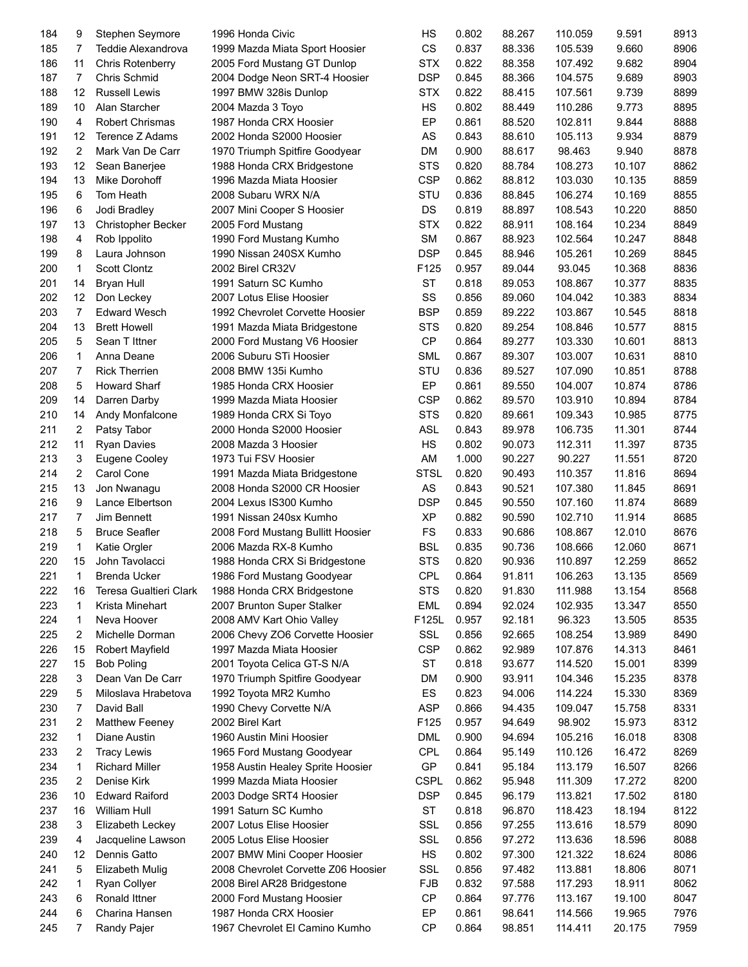| 184 | 9              | Stephen Seymore        | 1996 Honda Civic                                           | HS          | 0.802 | 88.267 | 110.059 | 9.591  | 8913 |
|-----|----------------|------------------------|------------------------------------------------------------|-------------|-------|--------|---------|--------|------|
| 185 | 7              | Teddie Alexandrova     | 1999 Mazda Miata Sport Hoosier                             | CS          | 0.837 | 88.336 | 105.539 | 9.660  | 8906 |
| 186 | 11             | Chris Rotenberry       | 2005 Ford Mustang GT Dunlop                                | <b>STX</b>  | 0.822 | 88.358 | 107.492 | 9.682  | 8904 |
| 187 | $\overline{7}$ | Chris Schmid           | 2004 Dodge Neon SRT-4 Hoosier                              | <b>DSP</b>  | 0.845 | 88.366 | 104.575 | 9.689  | 8903 |
| 188 | 12             | <b>Russell Lewis</b>   | 1997 BMW 328is Dunlop                                      | <b>STX</b>  | 0.822 | 88.415 | 107.561 | 9.739  | 8899 |
| 189 | 10             | Alan Starcher          | 2004 Mazda 3 Toyo                                          | <b>HS</b>   | 0.802 | 88.449 | 110.286 | 9.773  | 8895 |
| 190 | 4              | Robert Chrismas        | 1987 Honda CRX Hoosier                                     | EP          | 0.861 | 88.520 | 102.811 | 9.844  | 8888 |
| 191 | 12             | Terence Z Adams        | 2002 Honda S2000 Hoosier                                   | AS          | 0.843 | 88.610 | 105.113 | 9.934  | 8879 |
| 192 | $\overline{c}$ | Mark Van De Carr       | 1970 Triumph Spitfire Goodyear                             | DM          | 0.900 | 88.617 | 98.463  | 9.940  | 8878 |
| 193 | 12             | Sean Banerjee          | 1988 Honda CRX Bridgestone                                 | <b>STS</b>  | 0.820 | 88.784 | 108.273 | 10.107 | 8862 |
| 194 | 13             | Mike Dorohoff          | 1996 Mazda Miata Hoosier                                   | <b>CSP</b>  | 0.862 | 88.812 | 103.030 | 10.135 | 8859 |
| 195 | 6              | Tom Heath              | 2008 Subaru WRX N/A                                        | STU         | 0.836 | 88.845 | 106.274 | 10.169 | 8855 |
| 196 | 6              | Jodi Bradley           | 2007 Mini Cooper S Hoosier                                 | DS          | 0.819 | 88.897 | 108.543 | 10.220 | 8850 |
| 197 | 13             | Christopher Becker     | 2005 Ford Mustang                                          | <b>STX</b>  | 0.822 | 88.911 | 108.164 | 10.234 | 8849 |
| 198 | 4              | Rob Ippolito           | 1990 Ford Mustang Kumho                                    | SM          | 0.867 | 88.923 | 102.564 | 10.247 | 8848 |
| 199 | 8              | Laura Johnson          | 1990 Nissan 240SX Kumho                                    | <b>DSP</b>  | 0.845 | 88.946 | 105.261 | 10.269 | 8845 |
| 200 | $\mathbf{1}$   | <b>Scott Clontz</b>    | 2002 Birel CR32V                                           | F125        | 0.957 | 89.044 | 93.045  | 10.368 | 8836 |
| 201 | 14             | <b>Bryan Hull</b>      | 1991 Saturn SC Kumho                                       | <b>ST</b>   | 0.818 | 89.053 | 108.867 | 10.377 | 8835 |
| 202 | 12             | Don Leckey             | 2007 Lotus Elise Hoosier                                   | SS          | 0.856 | 89.060 | 104.042 | 10.383 | 8834 |
| 203 | $\overline{7}$ | <b>Edward Wesch</b>    | 1992 Chevrolet Corvette Hoosier                            | <b>BSP</b>  | 0.859 | 89.222 | 103.867 | 10.545 | 8818 |
| 204 | 13             | <b>Brett Howell</b>    | 1991 Mazda Miata Bridgestone                               | <b>STS</b>  | 0.820 | 89.254 | 108.846 | 10.577 | 8815 |
| 205 | 5              | Sean T Ittner          | 2000 Ford Mustang V6 Hoosier                               | <b>CP</b>   | 0.864 | 89.277 | 103.330 | 10.601 | 8813 |
| 206 | $\mathbf{1}$   | Anna Deane             | 2006 Suburu STi Hoosier                                    | <b>SML</b>  | 0.867 | 89.307 | 103.007 | 10.631 | 8810 |
| 207 | $\overline{7}$ | <b>Rick Therrien</b>   | 2008 BMW 135i Kumho                                        | STU         | 0.836 | 89.527 | 107.090 | 10.851 | 8788 |
| 208 | 5              | Howard Sharf           | 1985 Honda CRX Hoosier                                     | EP          | 0.861 | 89.550 | 104.007 | 10.874 | 8786 |
| 209 | 14             | Darren Darby           | 1999 Mazda Miata Hoosier                                   | <b>CSP</b>  | 0.862 | 89.570 | 103.910 | 10.894 | 8784 |
| 210 | 14             | Andy Monfalcone        | 1989 Honda CRX Si Toyo                                     | <b>STS</b>  | 0.820 | 89.661 | 109.343 | 10.985 | 8775 |
| 211 | $\overline{2}$ | Patsy Tabor            | 2000 Honda S2000 Hoosier                                   | <b>ASL</b>  | 0.843 | 89.978 | 106.735 | 11.301 | 8744 |
| 212 | 11             | <b>Ryan Davies</b>     | 2008 Mazda 3 Hoosier                                       | <b>HS</b>   | 0.802 | 90.073 | 112.311 | 11.397 | 8735 |
| 213 | 3              | Eugene Cooley          | 1973 Tui FSV Hoosier                                       | AM          | 1.000 | 90.227 | 90.227  | 11.551 | 8720 |
| 214 | $\overline{c}$ | Carol Cone             | 1991 Mazda Miata Bridgestone                               | <b>STSL</b> | 0.820 | 90.493 | 110.357 | 11.816 | 8694 |
| 215 | 13             | Jon Nwanagu            | 2008 Honda S2000 CR Hoosier                                | AS          | 0.843 | 90.521 | 107.380 | 11.845 | 8691 |
| 216 | 9              | Lance Elbertson        | 2004 Lexus IS300 Kumho                                     | <b>DSP</b>  | 0.845 | 90.550 | 107.160 | 11.874 | 8689 |
| 217 | $\overline{7}$ | Jim Bennett            | 1991 Nissan 240sx Kumho                                    | <b>XP</b>   | 0.882 | 90.590 | 102.710 | 11.914 | 8685 |
| 218 | 5              | <b>Bruce Seafler</b>   |                                                            | <b>FS</b>   | 0.833 | 90.686 | 108.867 | 12.010 | 8676 |
| 219 | 1              | Katie Orgler           | 2008 Ford Mustang Bullitt Hoosier<br>2006 Mazda RX-8 Kumho | <b>BSL</b>  | 0.835 | 90.736 | 108.666 | 12.060 | 8671 |
| 220 | 15             |                        |                                                            | <b>STS</b>  | 0.820 | 90.936 | 110.897 | 12.259 | 8652 |
|     |                | John Tavolacci         | 1988 Honda CRX Si Bridgestone                              |             |       |        |         |        |      |
| 221 | $\mathbf{1}$   | Brenda Ucker           | 1986 Ford Mustang Goodyear                                 | <b>CPL</b>  | 0.864 | 91.811 | 106.263 | 13.135 | 8569 |
| 222 | 16             | Teresa Gualtieri Clark | 1988 Honda CRX Bridgestone                                 | <b>STS</b>  | 0.820 | 91.830 | 111.988 | 13.154 | 8568 |
| 223 | 1              | Krista Minehart        | 2007 Brunton Super Stalker                                 | EML         | 0.894 | 92.024 | 102.935 | 13.347 | 8550 |
| 224 | 1              | Neva Hoover            | 2008 AMV Kart Ohio Valley                                  | F125L       | 0.957 | 92.181 | 96.323  | 13.505 | 8535 |
| 225 | 2              | Michelle Dorman        | 2006 Chevy ZO6 Corvette Hoosier                            | SSL         | 0.856 | 92.665 | 108.254 | 13.989 | 8490 |
| 226 | 15             | <b>Robert Mayfield</b> | 1997 Mazda Miata Hoosier                                   | <b>CSP</b>  | 0.862 | 92.989 | 107.876 | 14.313 | 8461 |
| 227 | 15             | <b>Bob Poling</b>      | 2001 Toyota Celica GT-S N/A                                | ST          | 0.818 | 93.677 | 114.520 | 15.001 | 8399 |
| 228 | 3              | Dean Van De Carr       | 1970 Triumph Spitfire Goodyear                             | DM          | 0.900 | 93.911 | 104.346 | 15.235 | 8378 |
| 229 | 5              | Miloslava Hrabetova    | 1992 Toyota MR2 Kumho                                      | ES          | 0.823 | 94.006 | 114.224 | 15.330 | 8369 |
| 230 | 7              | David Ball             | 1990 Chevy Corvette N/A                                    | <b>ASP</b>  | 0.866 | 94.435 | 109.047 | 15.758 | 8331 |
| 231 | 2              | <b>Matthew Feeney</b>  | 2002 Birel Kart                                            | F125        | 0.957 | 94.649 | 98.902  | 15.973 | 8312 |
| 232 | 1              | Diane Austin           | 1960 Austin Mini Hoosier                                   | <b>DML</b>  | 0.900 | 94.694 | 105.216 | 16.018 | 8308 |
| 233 | 2              | <b>Tracy Lewis</b>     | 1965 Ford Mustang Goodyear                                 | <b>CPL</b>  | 0.864 | 95.149 | 110.126 | 16.472 | 8269 |
| 234 | 1              | <b>Richard Miller</b>  | 1958 Austin Healey Sprite Hoosier                          | GP          | 0.841 | 95.184 | 113.179 | 16.507 | 8266 |
| 235 | 2              | Denise Kirk            | 1999 Mazda Miata Hoosier                                   | <b>CSPL</b> | 0.862 | 95.948 | 111.309 | 17.272 | 8200 |
| 236 | 10             | <b>Edward Raiford</b>  | 2003 Dodge SRT4 Hoosier                                    | <b>DSP</b>  | 0.845 | 96.179 | 113.821 | 17.502 | 8180 |
| 237 | 16             | <b>William Hull</b>    | 1991 Saturn SC Kumho                                       | ST          | 0.818 | 96.870 | 118.423 | 18.194 | 8122 |
| 238 | 3              | Elizabeth Leckey       | 2007 Lotus Elise Hoosier                                   | SSL         | 0.856 | 97.255 | 113.616 | 18.579 | 8090 |
| 239 | 4              | Jacqueline Lawson      | 2005 Lotus Elise Hoosier                                   | SSL         | 0.856 | 97.272 | 113.636 | 18.596 | 8088 |
| 240 | 12             | Dennis Gatto           | 2007 BMW Mini Cooper Hoosier                               | HS          | 0.802 | 97.300 | 121.322 | 18.624 | 8086 |
| 241 | 5              | Elizabeth Mulig        | 2008 Chevrolet Corvette Z06 Hoosier                        | SSL         | 0.856 | 97.482 | 113.881 | 18.806 | 8071 |
| 242 | 1              | Ryan Collyer           | 2008 Birel AR28 Bridgestone                                | FJB         | 0.832 | 97.588 | 117.293 | 18.911 | 8062 |
| 243 | 6              | Ronald Ittner          | 2000 Ford Mustang Hoosier                                  | CP          | 0.864 | 97.776 | 113.167 | 19.100 | 8047 |
| 244 | 6              | Charina Hansen         | 1987 Honda CRX Hoosier                                     | EP          | 0.861 | 98.641 | 114.566 | 19.965 | 7976 |
| 245 | 7              | Randy Pajer            | 1967 Chevrolet El Camino Kumho                             | <b>CP</b>   | 0.864 | 98.851 | 114.411 | 20.175 | 7959 |